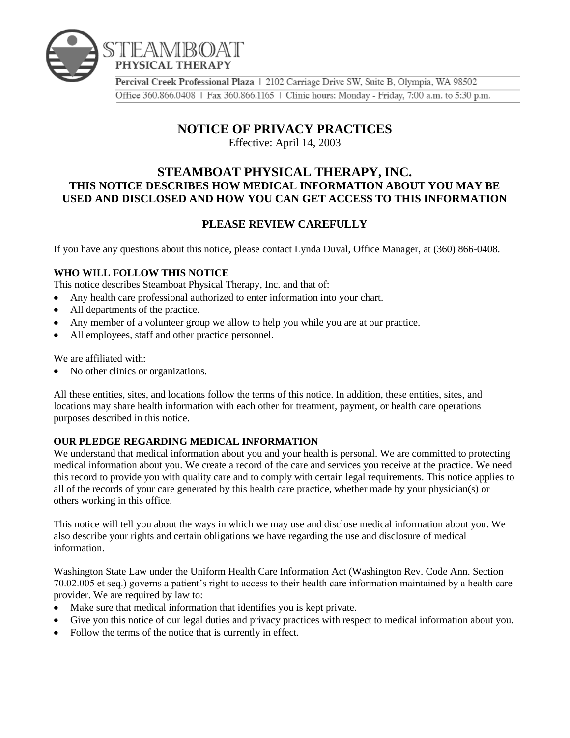

Percival Creek Professional Plaza | 2102 Carriage Drive SW, Suite B, Olympia, WA 98502 Office 360.866.0408 | Fax 360.866.1165 | Clinic hours: Monday - Friday, 7:00 a.m. to 5:30 p.m.

# **NOTICE OF PRIVACY PRACTICES**

Effective: April 14, 2003

# **STEAMBOAT PHYSICAL THERAPY, INC. THIS NOTICE DESCRIBES HOW MEDICAL INFORMATION ABOUT YOU MAY BE USED AND DISCLOSED AND HOW YOU CAN GET ACCESS TO THIS INFORMATION**

# **PLEASE REVIEW CAREFULLY**

If you have any questions about this notice, please contact Lynda Duval, Office Manager, at (360) 866-0408.

## **WHO WILL FOLLOW THIS NOTICE**

This notice describes Steamboat Physical Therapy, Inc. and that of:

- Any health care professional authorized to enter information into your chart.
- All departments of the practice.
- Any member of a volunteer group we allow to help you while you are at our practice.
- All employees, staff and other practice personnel.

We are affiliated with:

No other clinics or organizations.

All these entities, sites, and locations follow the terms of this notice. In addition, these entities, sites, and locations may share health information with each other for treatment, payment, or health care operations purposes described in this notice.

# **OUR PLEDGE REGARDING MEDICAL INFORMATION**

We understand that medical information about you and your health is personal. We are committed to protecting medical information about you. We create a record of the care and services you receive at the practice. We need this record to provide you with quality care and to comply with certain legal requirements. This notice applies to all of the records of your care generated by this health care practice, whether made by your physician(s) or others working in this office.

This notice will tell you about the ways in which we may use and disclose medical information about you. We also describe your rights and certain obligations we have regarding the use and disclosure of medical information.

Washington State Law under the Uniform Health Care Information Act (Washington Rev. Code Ann. Section 70.02.005 et seq.) governs a patient's right to access to their health care information maintained by a health care provider. We are required by law to:

- Make sure that medical information that identifies you is kept private.
- Give you this notice of our legal duties and privacy practices with respect to medical information about you.
- Follow the terms of the notice that is currently in effect.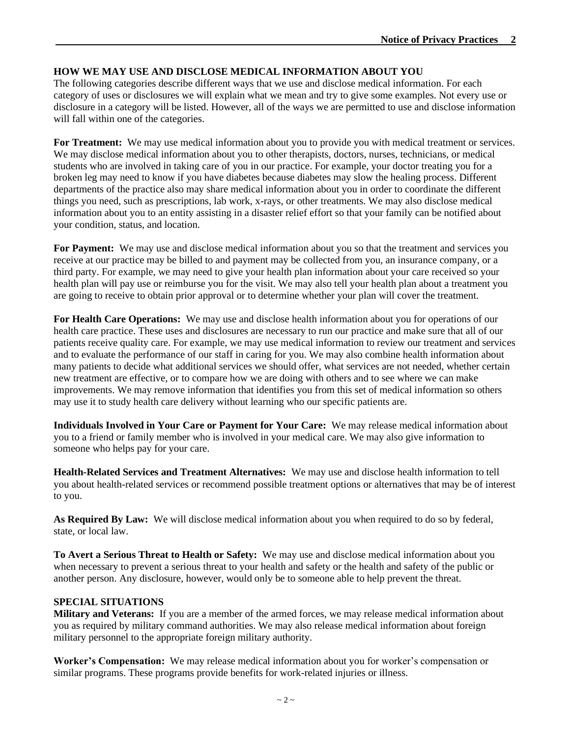## **HOW WE MAY USE AND DISCLOSE MEDICAL INFORMATION ABOUT YOU**

The following categories describe different ways that we use and disclose medical information. For each category of uses or disclosures we will explain what we mean and try to give some examples. Not every use or disclosure in a category will be listed. However, all of the ways we are permitted to use and disclose information will fall within one of the categories.

**For Treatment:** We may use medical information about you to provide you with medical treatment or services. We may disclose medical information about you to other therapists, doctors, nurses, technicians, or medical students who are involved in taking care of you in our practice. For example, your doctor treating you for a broken leg may need to know if you have diabetes because diabetes may slow the healing process. Different departments of the practice also may share medical information about you in order to coordinate the different things you need, such as prescriptions, lab work, x-rays, or other treatments. We may also disclose medical information about you to an entity assisting in a disaster relief effort so that your family can be notified about your condition, status, and location.

**For Payment:** We may use and disclose medical information about you so that the treatment and services you receive at our practice may be billed to and payment may be collected from you, an insurance company, or a third party. For example, we may need to give your health plan information about your care received so your health plan will pay use or reimburse you for the visit. We may also tell your health plan about a treatment you are going to receive to obtain prior approval or to determine whether your plan will cover the treatment.

**For Health Care Operations:** We may use and disclose health information about you for operations of our health care practice. These uses and disclosures are necessary to run our practice and make sure that all of our patients receive quality care. For example, we may use medical information to review our treatment and services and to evaluate the performance of our staff in caring for you. We may also combine health information about many patients to decide what additional services we should offer, what services are not needed, whether certain new treatment are effective, or to compare how we are doing with others and to see where we can make improvements. We may remove information that identifies you from this set of medical information so others may use it to study health care delivery without learning who our specific patients are.

**Individuals Involved in Your Care or Payment for Your Care:** We may release medical information about you to a friend or family member who is involved in your medical care. We may also give information to someone who helps pay for your care.

**Health-Related Services and Treatment Alternatives:** We may use and disclose health information to tell you about health-related services or recommend possible treatment options or alternatives that may be of interest to you.

**As Required By Law:** We will disclose medical information about you when required to do so by federal, state, or local law.

**To Avert a Serious Threat to Health or Safety:** We may use and disclose medical information about you when necessary to prevent a serious threat to your health and safety or the health and safety of the public or another person. Any disclosure, however, would only be to someone able to help prevent the threat.

#### **SPECIAL SITUATIONS**

**Military and Veterans:** If you are a member of the armed forces, we may release medical information about you as required by military command authorities. We may also release medical information about foreign military personnel to the appropriate foreign military authority.

**Worker's Compensation:** We may release medical information about you for worker's compensation or similar programs. These programs provide benefits for work-related injuries or illness.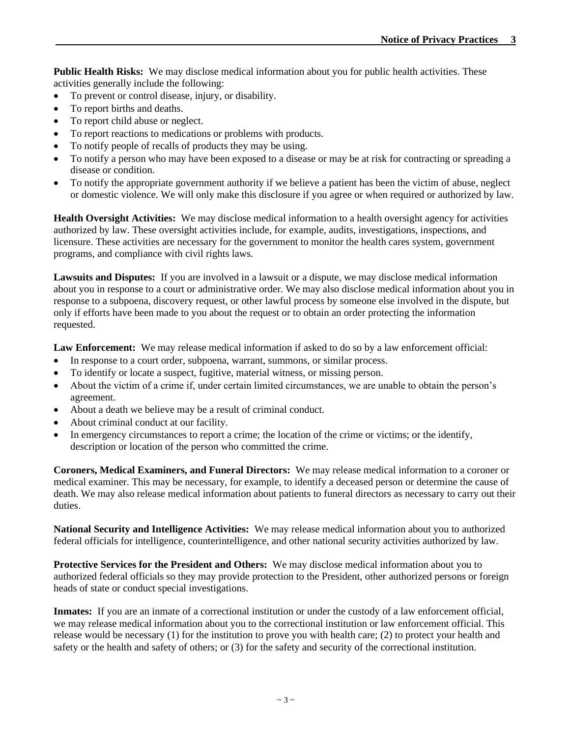**Public Health Risks:** We may disclose medical information about you for public health activities. These activities generally include the following:

- To prevent or control disease, injury, or disability.
- To report births and deaths.
- To report child abuse or neglect.
- To report reactions to medications or problems with products.
- To notify people of recalls of products they may be using.
- To notify a person who may have been exposed to a disease or may be at risk for contracting or spreading a disease or condition.
- To notify the appropriate government authority if we believe a patient has been the victim of abuse, neglect or domestic violence. We will only make this disclosure if you agree or when required or authorized by law.

**Health Oversight Activities:** We may disclose medical information to a health oversight agency for activities authorized by law. These oversight activities include, for example, audits, investigations, inspections, and licensure. These activities are necessary for the government to monitor the health cares system, government programs, and compliance with civil rights laws.

**Lawsuits and Disputes:** If you are involved in a lawsuit or a dispute, we may disclose medical information about you in response to a court or administrative order. We may also disclose medical information about you in response to a subpoena, discovery request, or other lawful process by someone else involved in the dispute, but only if efforts have been made to you about the request or to obtain an order protecting the information requested.

**Law Enforcement:** We may release medical information if asked to do so by a law enforcement official:

- In response to a court order, subpoena, warrant, summons, or similar process.
- To identify or locate a suspect, fugitive, material witness, or missing person.
- About the victim of a crime if, under certain limited circumstances, we are unable to obtain the person's agreement.
- About a death we believe may be a result of criminal conduct.
- About criminal conduct at our facility.
- In emergency circumstances to report a crime; the location of the crime or victims; or the identify, description or location of the person who committed the crime.

**Coroners, Medical Examiners, and Funeral Directors:** We may release medical information to a coroner or medical examiner. This may be necessary, for example, to identify a deceased person or determine the cause of death. We may also release medical information about patients to funeral directors as necessary to carry out their duties.

**National Security and Intelligence Activities:** We may release medical information about you to authorized federal officials for intelligence, counterintelligence, and other national security activities authorized by law.

**Protective Services for the President and Others:** We may disclose medical information about you to authorized federal officials so they may provide protection to the President, other authorized persons or foreign heads of state or conduct special investigations.

**Inmates:** If you are an inmate of a correctional institution or under the custody of a law enforcement official, we may release medical information about you to the correctional institution or law enforcement official. This release would be necessary (1) for the institution to prove you with health care; (2) to protect your health and safety or the health and safety of others; or (3) for the safety and security of the correctional institution.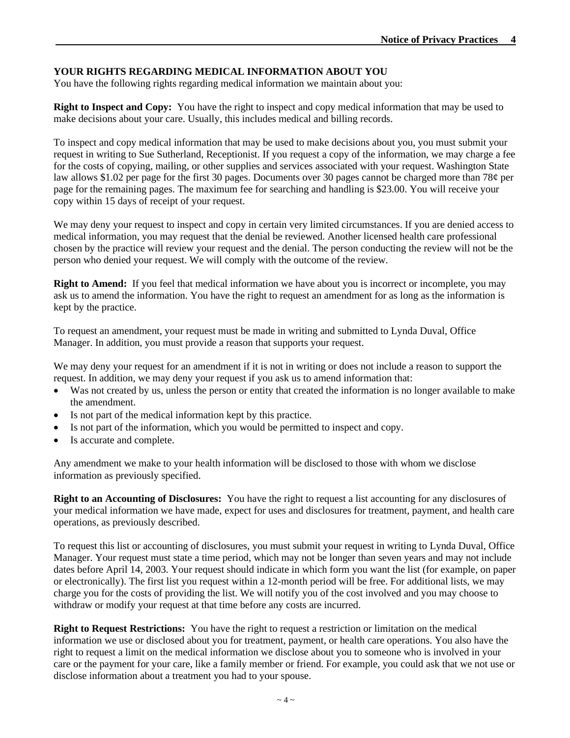## **YOUR RIGHTS REGARDING MEDICAL INFORMATION ABOUT YOU**

You have the following rights regarding medical information we maintain about you:

**Right to Inspect and Copy:** You have the right to inspect and copy medical information that may be used to make decisions about your care. Usually, this includes medical and billing records.

To inspect and copy medical information that may be used to make decisions about you, you must submit your request in writing to Sue Sutherland, Receptionist. If you request a copy of the information, we may charge a fee for the costs of copying, mailing, or other supplies and services associated with your request. Washington State law allows \$1.02 per page for the first 30 pages. Documents over 30 pages cannot be charged more than 78¢ per page for the remaining pages. The maximum fee for searching and handling is \$23.00. You will receive your copy within 15 days of receipt of your request.

We may deny your request to inspect and copy in certain very limited circumstances. If you are denied access to medical information, you may request that the denial be reviewed. Another licensed health care professional chosen by the practice will review your request and the denial. The person conducting the review will not be the person who denied your request. We will comply with the outcome of the review.

**Right to Amend:** If you feel that medical information we have about you is incorrect or incomplete, you may ask us to amend the information. You have the right to request an amendment for as long as the information is kept by the practice.

To request an amendment, your request must be made in writing and submitted to Lynda Duval, Office Manager. In addition, you must provide a reason that supports your request.

We may deny your request for an amendment if it is not in writing or does not include a reason to support the request. In addition, we may deny your request if you ask us to amend information that:

- Was not created by us, unless the person or entity that created the information is no longer available to make the amendment.
- Is not part of the medical information kept by this practice.
- Is not part of the information, which you would be permitted to inspect and copy.
- Is accurate and complete.

Any amendment we make to your health information will be disclosed to those with whom we disclose information as previously specified.

**Right to an Accounting of Disclosures:** You have the right to request a list accounting for any disclosures of your medical information we have made, expect for uses and disclosures for treatment, payment, and health care operations, as previously described.

To request this list or accounting of disclosures, you must submit your request in writing to Lynda Duval, Office Manager. Your request must state a time period, which may not be longer than seven years and may not include dates before April 14, 2003. Your request should indicate in which form you want the list (for example, on paper or electronically). The first list you request within a 12-month period will be free. For additional lists, we may charge you for the costs of providing the list. We will notify you of the cost involved and you may choose to withdraw or modify your request at that time before any costs are incurred.

**Right to Request Restrictions:** You have the right to request a restriction or limitation on the medical information we use or disclosed about you for treatment, payment, or health care operations. You also have the right to request a limit on the medical information we disclose about you to someone who is involved in your care or the payment for your care, like a family member or friend. For example, you could ask that we not use or disclose information about a treatment you had to your spouse.